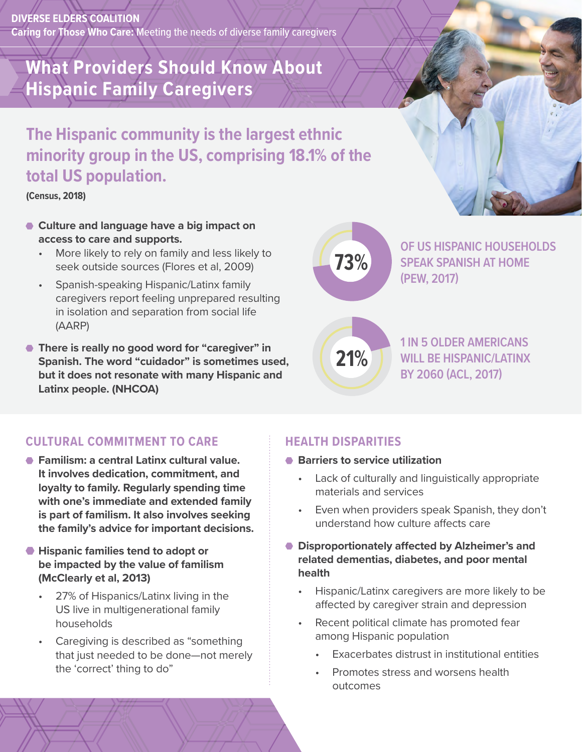**DIVERSE ELDERS COALITION Caring for Those Who Care:** Meeting the needs of diverse family caregivers

# **What Providers Should Know About Hispanic Family Caregivers**

# **The Hispanic community is the largest ethnic minority group in the US, comprising 18.1% of the total US population.**

**(Census, 2018)** 

- **Culture and language have a big impact on access to care and supports.**
	- More likely to rely on family and less likely to seek outside sources (Flores et al, 2009)
	- Spanish-speaking Hispanic/Latinx family caregivers report feeling unprepared resulting in isolation and separation from social life (AARP)
- **There is really no good word for "caregiver" in Spanish. The word "cuidador" is sometimes used, but it does not resonate with many Hispanic and Latinx people. (NHCOA)**

**73%**

**21%**

**OF US HISPANIC HOUSEHOLDS SPEAK SPANISH AT HOME (PEW, 2017)**

**1 IN 5 OLDER AMERICANS WILL BE HISPANIC/LATINX BY 2060 (ACL, 2017)**

## **CULTURAL COMMITMENT TO CARE**

- **Familism: a central Latinx cultural value. It involves dedication, commitment, and loyalty to family. Regularly spending time with one's immediate and extended family is part of familism. It also involves seeking the family's advice for important decisions.**
- **Hispanic families tend to adopt or be impacted by the value of familism (McClearly et al, 2013)**
	- 27% of Hispanics/Latinx living in the US live in multigenerational family households
	- Caregiving is described as "something that just needed to be done—not merely the 'correct' thing to do"

#### **HEALTH DISPARITIES**

- **Barriers to service utilization** 
	- Lack of culturally and linguistically appropriate materials and services
	- Even when providers speak Spanish, they don't understand how culture affects care
- **Disproportionately affected by Alzheimer's and related dementias, diabetes, and poor mental health**
	- Hispanic/Latinx caregivers are more likely to be affected by caregiver strain and depression
	- Recent political climate has promoted fear among Hispanic population
		- Exacerbates distrust in institutional entities
		- Promotes stress and worsens health outcomes